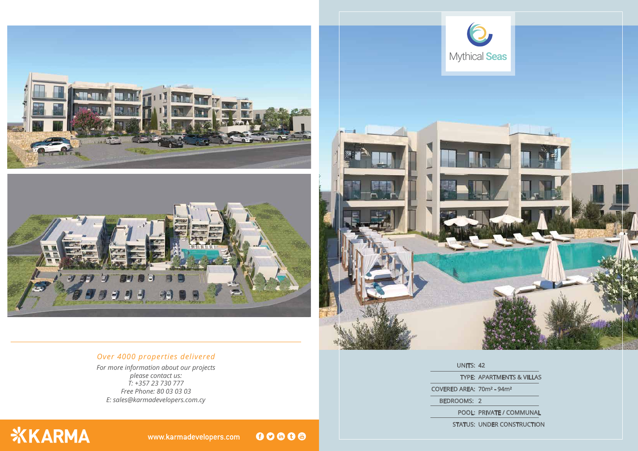





*E: sales@karmadevelopers.com.cy For more information about our projects please contact us: T: +357 23 730 777 Free Phone: 80 03 03 03*

**XKARMA** 

## *Over 4000 properties delivered*

TYPE: APARTMENTS & VILLAS

UNITS: 42 COVERED AREA: 70m² - 94m² BEDROOMS: 2

www.karmadevelopers.com

00000



POOL: PRIVATE / COMMUNAL STATUS: UNDER CONSTRUCTION